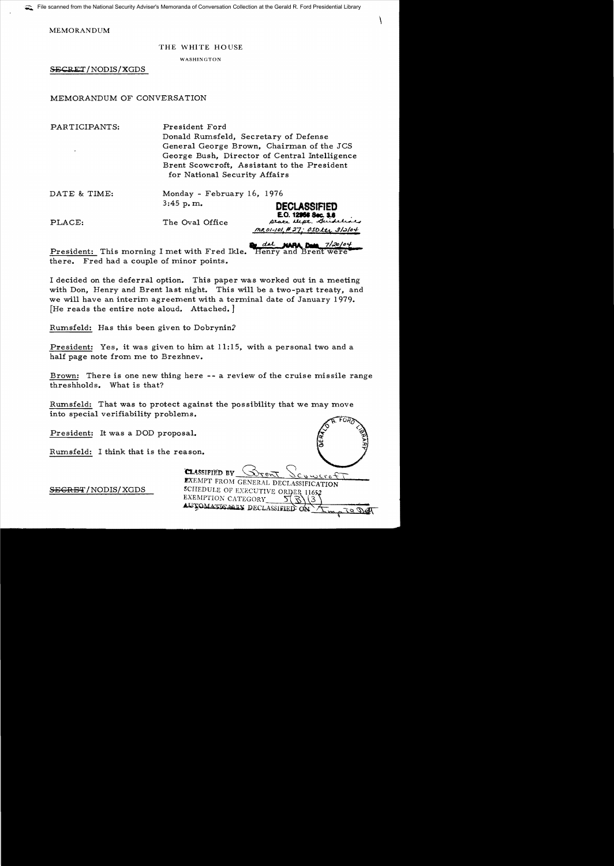MEMORANDUM

## THE WHITE HOUSE

\

WASHINGTON

SECRET/NODIS/XGDS

## MEMORANDUM OF CONVERSATION

PARTICIPANTS: President Ford Donald Rumsfeld, Secretary of Defense General George Brown, Chairman of the JCS George Bush, Director of Central Intelligence Brent Scowcroft, Assistant to the President for National Security Affairs

| DATE & TIME: | Monday - February 16, 1976 |                                                                                     |
|--------------|----------------------------|-------------------------------------------------------------------------------------|
|              | $3:45$ p.m.                | <b>DECLASSIFIED</b>                                                                 |
| PLACE:       | The Oval Office            | E.O. 12968 Sec. 3.8<br>prace there. children<br><u> MROI-101,#27; OSDLtr 3/2/04</u> |

and the party day 7/20/04 President: This morning I met with Fred Ikle. Henry and Brent were there. Fred had a couple of minor points.

I decided on the deferral option. This paper was worked out in a meeting with Don, Henry and Brent last night. This will be a two-part treaty, and we will have an interim agreement with a terminal date of January 1979. [He reads the entire note aloud. Attached.]

Rumsfeld: Has this been given to Dobrynin2

President: Yes, it was given to him at 11:15, with a personal two and a half page note from me to Brezhnev.

Brown: There is one new thing here - - a review of the cruise missile range threshholds. What is that?

Rumsfeld: That was to protect against the possibility that we may move into special verifiability problems.

President: It was a DOD proposal.

Rumsfeld: I think that is the r

| eason.                                                                                                 |         |
|--------------------------------------------------------------------------------------------------------|---------|
| <b>CLASSIFIED BY</b><br>$r e \overline{r}$                                                             | Scuwere |
| <b>EXEMPT FROM GENERAL DECLASSIFICATION</b><br>SCHEDULE OF EXECUTIVE ORDER 11652<br>EXEMPTION CATEGORY |         |
| AUTOMATICALLY DECLASSIFIED ON                                                                          |         |

 $SEGREF/NODIS/XGDS$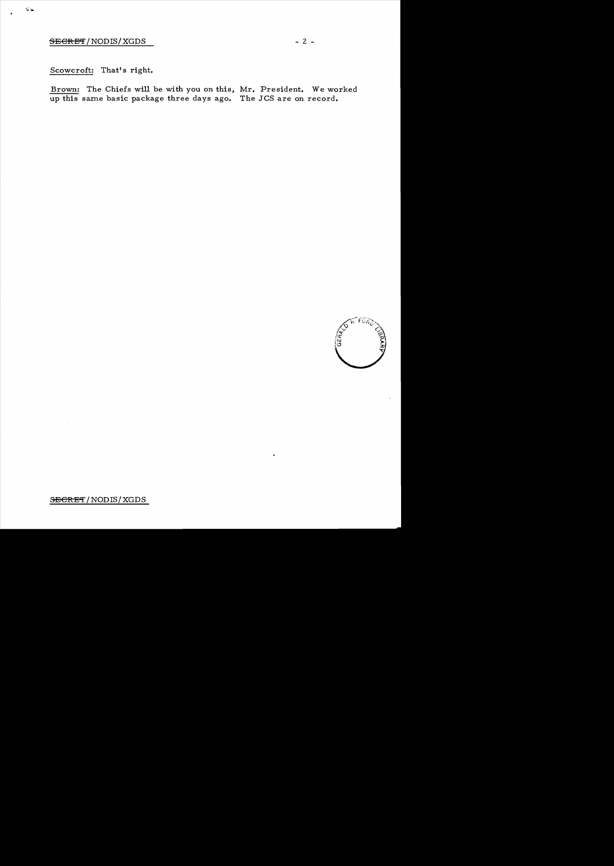## $SEGREF/NODIS/XGDS$  - 2 -

## Scowcroft: That's right.

Brown: The Chiefs will be with you on this, Mr. President. We worked up this same basic package three days ago. The JCS are on record.